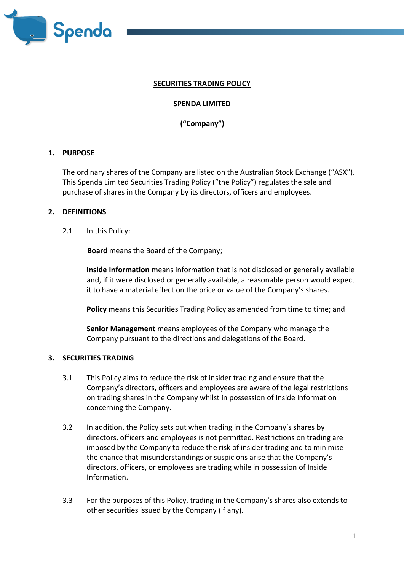

#### **SECURITIES TRADING POLICY**

### **SPENDA LIMITED**

**("Company")**

### **1. PURPOSE**

The ordinary shares of the Company are listed on the Australian Stock Exchange ("ASX"). This Spenda Limited Securities Trading Policy ("the Policy") regulates the sale and purchase of shares in the Company by its directors, officers and employees.

### **2. DEFINITIONS**

2.1 In this Policy:

**Board** means the Board of the Company;

**Inside Information** means information that is not disclosed or generally available and, if it were disclosed or generally available, a reasonable person would expect it to have a material effect on the price or value of the Company's shares.

**Policy** means this Securities Trading Policy as amended from time to time; and

**Senior Management** means employees of the Company who manage the Company pursuant to the directions and delegations of the Board.

#### **3. SECURITIES TRADING**

- 3.1 This Policy aims to reduce the risk of insider trading and ensure that the Company's directors, officers and employees are aware of the legal restrictions on trading shares in the Company whilst in possession of Inside Information concerning the Company.
- 3.2 In addition, the Policy sets out when trading in the Company's shares by directors, officers and employees is not permitted. Restrictions on trading are imposed by the Company to reduce the risk of insider trading and to minimise the chance that misunderstandings or suspicions arise that the Company's directors, officers, or employees are trading while in possession of Inside Information.
- 3.3 For the purposes of this Policy, trading in the Company's shares also extends to other securities issued by the Company (if any).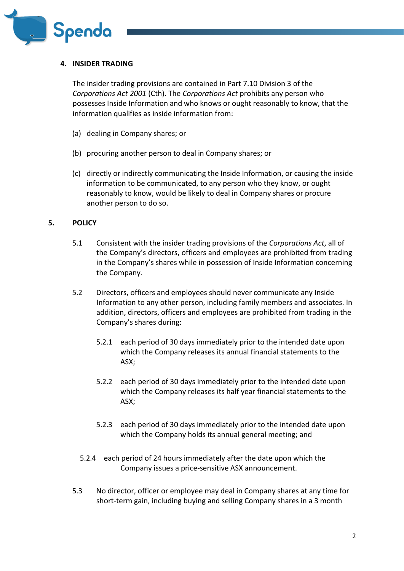

### **4. INSIDER TRADING**

The insider trading provisions are contained in Part 7.10 Division 3 of the *Corporations Act 2001* (Cth). The *Corporations Act* prohibits any person who possesses Inside Information and who knows or ought reasonably to know, that the information qualifies as inside information from:

- (a) dealing in Company shares; or
- (b) procuring another person to deal in Company shares; or
- (c) directly or indirectly communicating the Inside Information, or causing the inside information to be communicated, to any person who they know, or ought reasonably to know, would be likely to deal in Company shares or procure another person to do so.

### **5. POLICY**

- 5.1 Consistent with the insider trading provisions of the *Corporations Act*, all of the Company's directors, officers and employees are prohibited from trading in the Company's shares while in possession of Inside Information concerning the Company.
- 5.2 Directors, officers and employees should never communicate any Inside Information to any other person, including family members and associates. In addition, directors, officers and employees are prohibited from trading in the Company's shares during:
	- 5.2.1 each period of 30 days immediately prior to the intended date upon which the Company releases its annual financial statements to the ASX;
	- 5.2.2 each period of 30 days immediately prior to the intended date upon which the Company releases its half year financial statements to the ASX;
	- 5.2.3 each period of 30 days immediately prior to the intended date upon which the Company holds its annual general meeting; and
	- 5.2.4 each period of 24 hours immediately after the date upon which the Company issues a price‐sensitive ASX announcement.
- 5.3 No director, officer or employee may deal in Company shares at any time for short-term gain, including buying and selling Company shares in a 3 month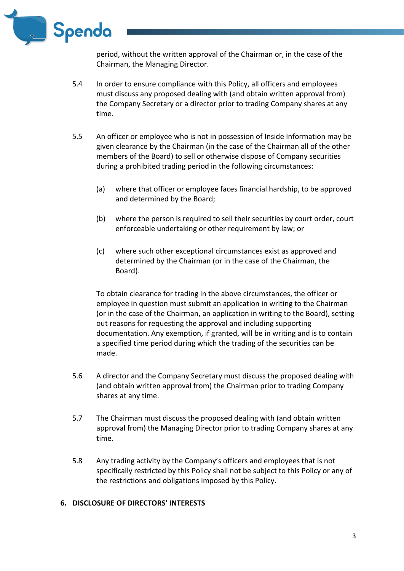

period, without the written approval of the Chairman or, in the case of the Chairman, the Managing Director.

- 5.4 In order to ensure compliance with this Policy, all officers and employees must discuss any proposed dealing with (and obtain written approval from) the Company Secretary or a director prior to trading Company shares at any time.
- 5.5 An officer or employee who is not in possession of Inside Information may be given clearance by the Chairman (in the case of the Chairman all of the other members of the Board) to sell or otherwise dispose of Company securities during a prohibited trading period in the following circumstances:
	- (a) where that officer or employee faces financial hardship, to be approved and determined by the Board;
	- (b) where the person is required to sell their securities by court order, court enforceable undertaking or other requirement by law; or
	- (c) where such other exceptional circumstances exist as approved and determined by the Chairman (or in the case of the Chairman, the Board).

To obtain clearance for trading in the above circumstances, the officer or employee in question must submit an application in writing to the Chairman (or in the case of the Chairman, an application in writing to the Board), setting out reasons for requesting the approval and including supporting documentation. Any exemption, if granted, will be in writing and is to contain a specified time period during which the trading of the securities can be made.

- 5.6 A director and the Company Secretary must discuss the proposed dealing with (and obtain written approval from) the Chairman prior to trading Company shares at any time.
- 5.7 The Chairman must discuss the proposed dealing with (and obtain written approval from) the Managing Director prior to trading Company shares at any time.
- 5.8 Any trading activity by the Company's officers and employees that is not specifically restricted by this Policy shall not be subject to this Policy or any of the restrictions and obligations imposed by this Policy.

# **6. DISCLOSURE OF DIRECTORS' INTERESTS**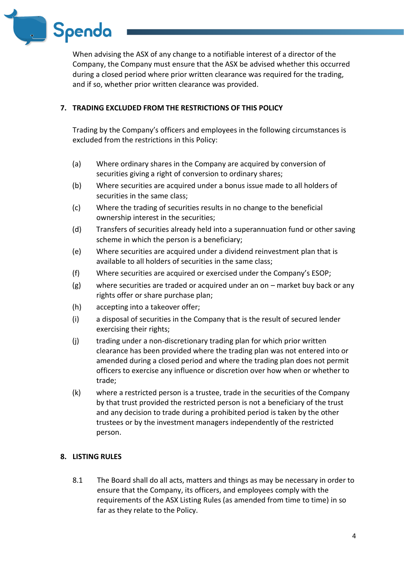

When advising the ASX of any change to a notifiable interest of a director of the Company, the Company must ensure that the ASX be advised whether this occurred during a closed period where prior written clearance was required for the trading, and if so, whether prior written clearance was provided.

# **7. TRADING EXCLUDED FROM THE RESTRICTIONS OF THIS POLICY**

Trading by the Company's officers and employees in the following circumstances is excluded from the restrictions in this Policy:

- (a) Where ordinary shares in the Company are acquired by conversion of securities giving a right of conversion to ordinary shares;
- (b) Where securities are acquired under a bonus issue made to all holders of securities in the same class;
- (c) Where the trading of securities results in no change to the beneficial ownership interest in the securities;
- (d) Transfers of securities already held into a superannuation fund or other saving scheme in which the person is a beneficiary;
- (e) Where securities are acquired under a dividend reinvestment plan that is available to all holders of securities in the same class;
- (f) Where securities are acquired or exercised under the Company's ESOP;
- (g) where securities are traded or acquired under an on market buy back or any rights offer or share purchase plan;
- (h) accepting into a takeover offer;
- (i) a disposal of securities in the Company that is the result of secured lender exercising their rights;
- (j) trading under a non-discretionary trading plan for which prior written clearance has been provided where the trading plan was not entered into or amended during a closed period and where the trading plan does not permit officers to exercise any influence or discretion over how when or whether to trade;
- (k) where a restricted person is a trustee, trade in the securities of the Company by that trust provided the restricted person is not a beneficiary of the trust and any decision to trade during a prohibited period is taken by the other trustees or by the investment managers independently of the restricted person.

# **8. LISTING RULES**

8.1 The Board shall do all acts, matters and things as may be necessary in order to ensure that the Company, its officers, and employees comply with the requirements of the ASX Listing Rules (as amended from time to time) in so far as they relate to the Policy.